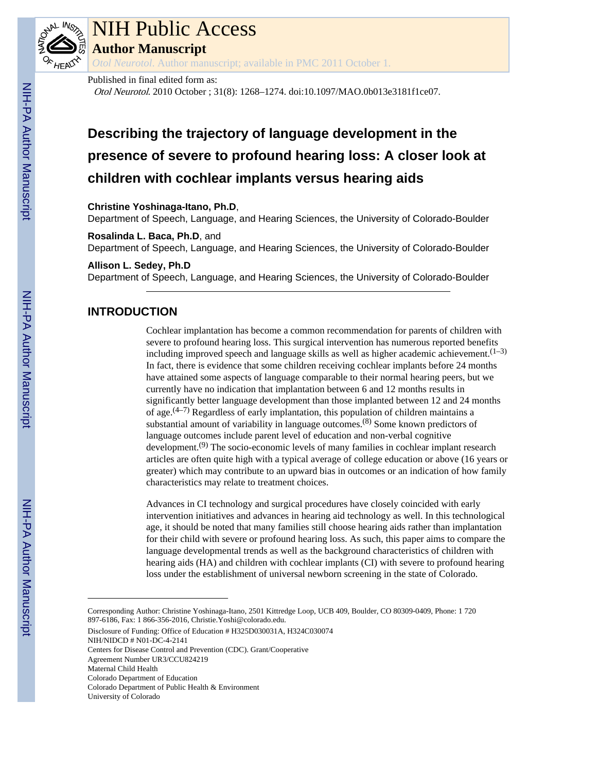

# NIH Public Access

**Author Manuscript**

*Otol Neurotol*. Author manuscript; available in PMC 2011 October 1.

Published in final edited form as:

Otol Neurotol. 2010 October ; 31(8): 1268–1274. doi:10.1097/MAO.0b013e3181f1ce07.

# **Describing the trajectory of language development in the presence of severe to profound hearing loss: A closer look at children with cochlear implants versus hearing aids**

# **Christine Yoshinaga-Itano, Ph.D**,

Department of Speech, Language, and Hearing Sciences, the University of Colorado-Boulder

**Rosalinda L. Baca, Ph.D**, and

Department of Speech, Language, and Hearing Sciences, the University of Colorado-Boulder

## **Allison L. Sedey, Ph.D**

Department of Speech, Language, and Hearing Sciences, the University of Colorado-Boulder

# **INTRODUCTION**

Cochlear implantation has become a common recommendation for parents of children with severe to profound hearing loss. This surgical intervention has numerous reported benefits including improved speech and language skills as well as higher academic achievement.  $(1-3)$ In fact, there is evidence that some children receiving cochlear implants before 24 months have attained some aspects of language comparable to their normal hearing peers, but we currently have no indication that implantation between 6 and 12 months results in significantly better language development than those implanted between 12 and 24 months of age. $(4-7)$  Regardless of early implantation, this population of children maintains a substantial amount of variability in language outcomes.(8) Some known predictors of language outcomes include parent level of education and non-verbal cognitive development.<sup>(9)</sup> The socio-economic levels of many families in cochlear implant research articles are often quite high with a typical average of college education or above (16 years or greater) which may contribute to an upward bias in outcomes or an indication of how family characteristics may relate to treatment choices.

Advances in CI technology and surgical procedures have closely coincided with early intervention initiatives and advances in hearing aid technology as well. In this technological age, it should be noted that many families still choose hearing aids rather than implantation for their child with severe or profound hearing loss. As such, this paper aims to compare the language developmental trends as well as the background characteristics of children with hearing aids (HA) and children with cochlear implants (CI) with severe to profound hearing loss under the establishment of universal newborn screening in the state of Colorado.

Corresponding Author: Christine Yoshinaga-Itano, 2501 Kittredge Loop, UCB 409, Boulder, CO 80309-0409, Phone: 1 720 897-6186, Fax: 1 866-356-2016, Christie.Yoshi@colorado.edu.

Disclosure of Funding: Office of Education # H325D030031A, H324C030074

NIH/NIDCD # N01-DC-4-2141

Centers for Disease Control and Prevention (CDC). Grant/Cooperative

Agreement Number UR3/CCU824219

Maternal Child Health

Colorado Department of Education

Colorado Department of Public Health & Environment

University of Colorado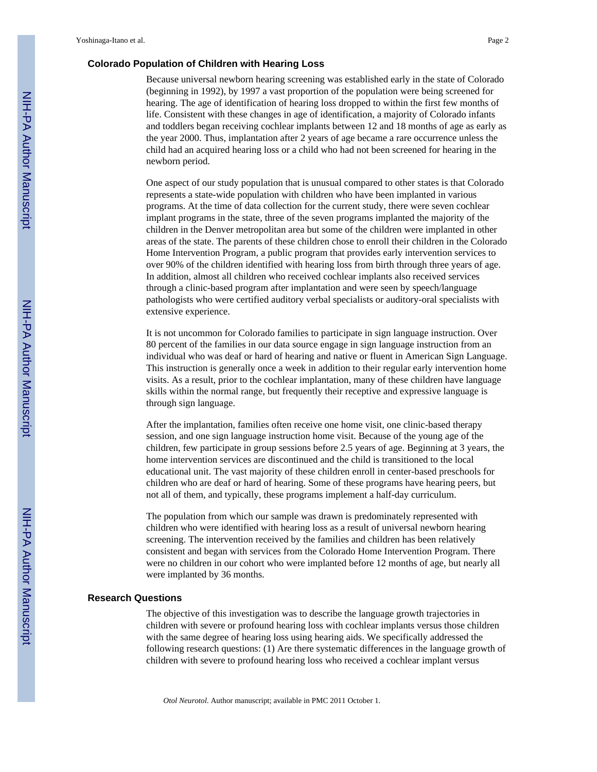#### **Colorado Population of Children with Hearing Loss**

Because universal newborn hearing screening was established early in the state of Colorado (beginning in 1992), by 1997 a vast proportion of the population were being screened for hearing. The age of identification of hearing loss dropped to within the first few months of life. Consistent with these changes in age of identification, a majority of Colorado infants and toddlers began receiving cochlear implants between 12 and 18 months of age as early as the year 2000. Thus, implantation after 2 years of age became a rare occurrence unless the child had an acquired hearing loss or a child who had not been screened for hearing in the newborn period.

One aspect of our study population that is unusual compared to other states is that Colorado represents a state-wide population with children who have been implanted in various programs. At the time of data collection for the current study, there were seven cochlear implant programs in the state, three of the seven programs implanted the majority of the children in the Denver metropolitan area but some of the children were implanted in other areas of the state. The parents of these children chose to enroll their children in the Colorado Home Intervention Program, a public program that provides early intervention services to over 90% of the children identified with hearing loss from birth through three years of age. In addition, almost all children who received cochlear implants also received services through a clinic-based program after implantation and were seen by speech/language pathologists who were certified auditory verbal specialists or auditory-oral specialists with extensive experience.

It is not uncommon for Colorado families to participate in sign language instruction. Over 80 percent of the families in our data source engage in sign language instruction from an individual who was deaf or hard of hearing and native or fluent in American Sign Language. This instruction is generally once a week in addition to their regular early intervention home visits. As a result, prior to the cochlear implantation, many of these children have language skills within the normal range, but frequently their receptive and expressive language is through sign language.

After the implantation, families often receive one home visit, one clinic-based therapy session, and one sign language instruction home visit. Because of the young age of the children, few participate in group sessions before 2.5 years of age. Beginning at 3 years, the home intervention services are discontinued and the child is transitioned to the local educational unit. The vast majority of these children enroll in center-based preschools for children who are deaf or hard of hearing. Some of these programs have hearing peers, but not all of them, and typically, these programs implement a half-day curriculum.

The population from which our sample was drawn is predominately represented with children who were identified with hearing loss as a result of universal newborn hearing screening. The intervention received by the families and children has been relatively consistent and began with services from the Colorado Home Intervention Program. There were no children in our cohort who were implanted before 12 months of age, but nearly all were implanted by 36 months.

#### **Research Questions**

The objective of this investigation was to describe the language growth trajectories in children with severe or profound hearing loss with cochlear implants versus those children with the same degree of hearing loss using hearing aids. We specifically addressed the following research questions: (1) Are there systematic differences in the language growth of children with severe to profound hearing loss who received a cochlear implant versus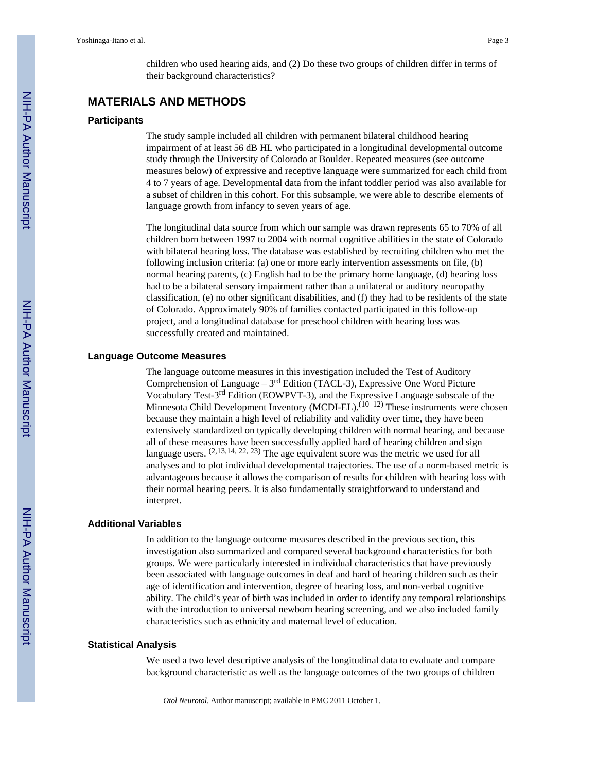children who used hearing aids, and (2) Do these two groups of children differ in terms of their background characteristics?

# **MATERIALS AND METHODS**

#### **Participants**

The study sample included all children with permanent bilateral childhood hearing impairment of at least 56 dB HL who participated in a longitudinal developmental outcome study through the University of Colorado at Boulder. Repeated measures (see outcome measures below) of expressive and receptive language were summarized for each child from 4 to 7 years of age. Developmental data from the infant toddler period was also available for a subset of children in this cohort. For this subsample, we were able to describe elements of language growth from infancy to seven years of age.

The longitudinal data source from which our sample was drawn represents 65 to 70% of all children born between 1997 to 2004 with normal cognitive abilities in the state of Colorado with bilateral hearing loss. The database was established by recruiting children who met the following inclusion criteria: (a) one or more early intervention assessments on file, (b) normal hearing parents, (c) English had to be the primary home language, (d) hearing loss had to be a bilateral sensory impairment rather than a unilateral or auditory neuropathy classification, (e) no other significant disabilities, and (f) they had to be residents of the state of Colorado. Approximately 90% of families contacted participated in this follow-up project, and a longitudinal database for preschool children with hearing loss was successfully created and maintained.

#### **Language Outcome Measures**

The language outcome measures in this investigation included the Test of Auditory Comprehension of Language –  $3<sup>rd</sup>$  Edition (TACL-3), Expressive One Word Picture Vocabulary Test-3rd Edition (EOWPVT-3), and the Expressive Language subscale of the Minnesota Child Development Inventory (MCDI-EL).<sup>(10–12)</sup> These instruments were chosen because they maintain a high level of reliability and validity over time, they have been extensively standardized on typically developing children with normal hearing, and because all of these measures have been successfully applied hard of hearing children and sign language users.  $(2,13,14,22,23)$  The age equivalent score was the metric we used for all analyses and to plot individual developmental trajectories. The use of a norm-based metric is advantageous because it allows the comparison of results for children with hearing loss with their normal hearing peers. It is also fundamentally straightforward to understand and interpret.

#### **Additional Variables**

In addition to the language outcome measures described in the previous section, this investigation also summarized and compared several background characteristics for both groups. We were particularly interested in individual characteristics that have previously been associated with language outcomes in deaf and hard of hearing children such as their age of identification and intervention, degree of hearing loss, and non-verbal cognitive ability. The child's year of birth was included in order to identify any temporal relationships with the introduction to universal newborn hearing screening, and we also included family characteristics such as ethnicity and maternal level of education.

#### **Statistical Analysis**

We used a two level descriptive analysis of the longitudinal data to evaluate and compare background characteristic as well as the language outcomes of the two groups of children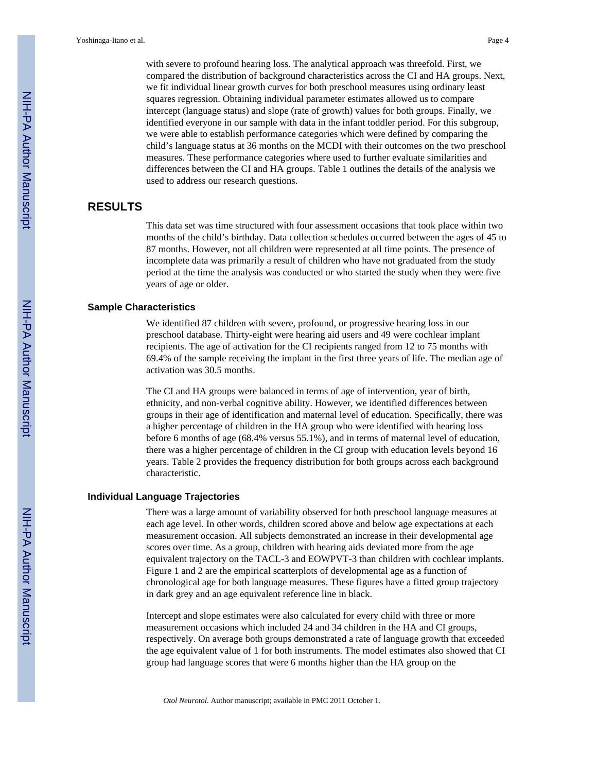with severe to profound hearing loss. The analytical approach was threefold. First, we compared the distribution of background characteristics across the CI and HA groups. Next, we fit individual linear growth curves for both preschool measures using ordinary least squares regression. Obtaining individual parameter estimates allowed us to compare intercept (language status) and slope (rate of growth) values for both groups. Finally, we identified everyone in our sample with data in the infant toddler period. For this subgroup, we were able to establish performance categories which were defined by comparing the child's language status at 36 months on the MCDI with their outcomes on the two preschool measures. These performance categories where used to further evaluate similarities and differences between the CI and HA groups. Table 1 outlines the details of the analysis we used to address our research questions.

# **RESULTS**

This data set was time structured with four assessment occasions that took place within two months of the child's birthday. Data collection schedules occurred between the ages of 45 to 87 months. However, not all children were represented at all time points. The presence of incomplete data was primarily a result of children who have not graduated from the study period at the time the analysis was conducted or who started the study when they were five years of age or older.

#### **Sample Characteristics**

We identified 87 children with severe, profound, or progressive hearing loss in our preschool database. Thirty-eight were hearing aid users and 49 were cochlear implant recipients. The age of activation for the CI recipients ranged from 12 to 75 months with 69.4% of the sample receiving the implant in the first three years of life. The median age of activation was 30.5 months.

The CI and HA groups were balanced in terms of age of intervention, year of birth, ethnicity, and non-verbal cognitive ability. However, we identified differences between groups in their age of identification and maternal level of education. Specifically, there was a higher percentage of children in the HA group who were identified with hearing loss before 6 months of age (68.4% versus 55.1%), and in terms of maternal level of education, there was a higher percentage of children in the CI group with education levels beyond 16 years. Table 2 provides the frequency distribution for both groups across each background characteristic.

#### **Individual Language Trajectories**

There was a large amount of variability observed for both preschool language measures at each age level. In other words, children scored above and below age expectations at each measurement occasion. All subjects demonstrated an increase in their developmental age scores over time. As a group, children with hearing aids deviated more from the age equivalent trajectory on the TACL-3 and EOWPVT-3 than children with cochlear implants. Figure 1 and 2 are the empirical scatterplots of developmental age as a function of chronological age for both language measures. These figures have a fitted group trajectory in dark grey and an age equivalent reference line in black.

Intercept and slope estimates were also calculated for every child with three or more measurement occasions which included 24 and 34 children in the HA and CI groups, respectively. On average both groups demonstrated a rate of language growth that exceeded the age equivalent value of 1 for both instruments. The model estimates also showed that CI group had language scores that were 6 months higher than the HA group on the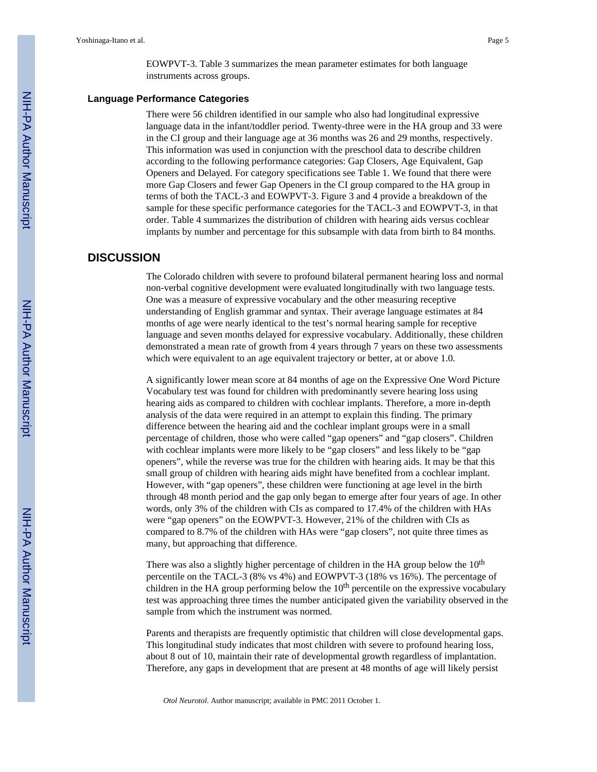## **Language Performance Categories**

There were 56 children identified in our sample who also had longitudinal expressive language data in the infant/toddler period. Twenty-three were in the HA group and 33 were in the CI group and their language age at 36 months was 26 and 29 months, respectively. This information was used in conjunction with the preschool data to describe children according to the following performance categories: Gap Closers, Age Equivalent, Gap Openers and Delayed. For category specifications see Table 1. We found that there were more Gap Closers and fewer Gap Openers in the CI group compared to the HA group in terms of both the TACL-3 and EOWPVT-3. Figure 3 and 4 provide a breakdown of the sample for these specific performance categories for the TACL-3 and EOWPVT-3, in that order. Table 4 summarizes the distribution of children with hearing aids versus cochlear implants by number and percentage for this subsample with data from birth to 84 months.

# **DISCUSSION**

The Colorado children with severe to profound bilateral permanent hearing loss and normal non-verbal cognitive development were evaluated longitudinally with two language tests. One was a measure of expressive vocabulary and the other measuring receptive understanding of English grammar and syntax. Their average language estimates at 84 months of age were nearly identical to the test's normal hearing sample for receptive language and seven months delayed for expressive vocabulary. Additionally, these children demonstrated a mean rate of growth from 4 years through 7 years on these two assessments which were equivalent to an age equivalent trajectory or better, at or above 1.0.

A significantly lower mean score at 84 months of age on the Expressive One Word Picture Vocabulary test was found for children with predominantly severe hearing loss using hearing aids as compared to children with cochlear implants. Therefore, a more in-depth analysis of the data were required in an attempt to explain this finding. The primary difference between the hearing aid and the cochlear implant groups were in a small percentage of children, those who were called "gap openers" and "gap closers". Children with cochlear implants were more likely to be "gap closers" and less likely to be "gap openers", while the reverse was true for the children with hearing aids. It may be that this small group of children with hearing aids might have benefited from a cochlear implant. However, with "gap openers", these children were functioning at age level in the birth through 48 month period and the gap only began to emerge after four years of age. In other words, only 3% of the children with CIs as compared to 17.4% of the children with HAs were "gap openers" on the EOWPVT-3. However, 21% of the children with CIs as compared to 8.7% of the children with HAs were "gap closers", not quite three times as many, but approaching that difference.

There was also a slightly higher percentage of children in the HA group below the  $10<sup>th</sup>$ percentile on the TACL-3 (8% vs 4%) and EOWPVT-3 (18% vs 16%). The percentage of children in the HA group performing below the  $10<sup>th</sup>$  percentile on the expressive vocabulary test was approaching three times the number anticipated given the variability observed in the sample from which the instrument was normed.

Parents and therapists are frequently optimistic that children will close developmental gaps. This longitudinal study indicates that most children with severe to profound hearing loss, about 8 out of 10, maintain their rate of developmental growth regardless of implantation. Therefore, any gaps in development that are present at 48 months of age will likely persist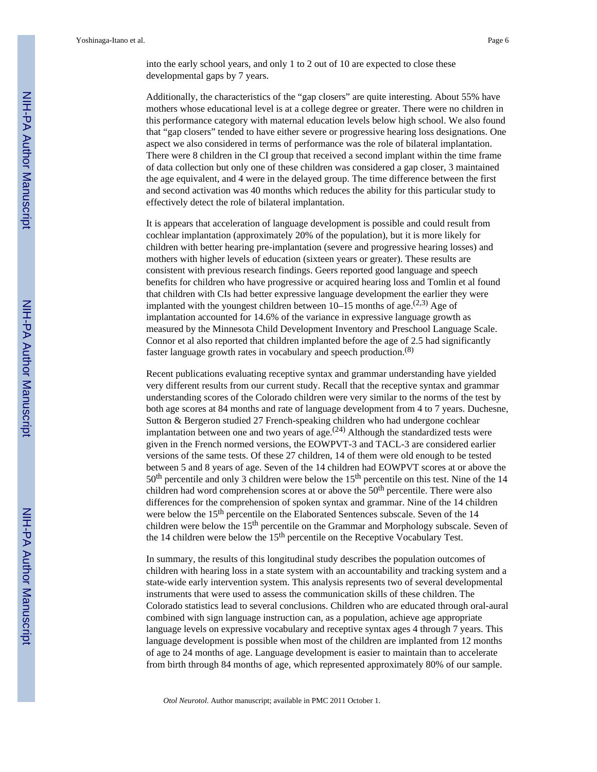into the early school years, and only 1 to 2 out of 10 are expected to close these developmental gaps by 7 years.

Additionally, the characteristics of the "gap closers" are quite interesting. About 55% have mothers whose educational level is at a college degree or greater. There were no children in this performance category with maternal education levels below high school. We also found that "gap closers" tended to have either severe or progressive hearing loss designations. One aspect we also considered in terms of performance was the role of bilateral implantation. There were 8 children in the CI group that received a second implant within the time frame of data collection but only one of these children was considered a gap closer, 3 maintained the age equivalent, and 4 were in the delayed group. The time difference between the first and second activation was 40 months which reduces the ability for this particular study to effectively detect the role of bilateral implantation.

It is appears that acceleration of language development is possible and could result from cochlear implantation (approximately 20% of the population), but it is more likely for children with better hearing pre-implantation (severe and progressive hearing losses) and mothers with higher levels of education (sixteen years or greater). These results are consistent with previous research findings. Geers reported good language and speech benefits for children who have progressive or acquired hearing loss and Tomlin et al found that children with CIs had better expressive language development the earlier they were implanted with the youngest children between  $10-15$  months of age.<sup>(2,3)</sup> Age of implantation accounted for 14.6% of the variance in expressive language growth as measured by the Minnesota Child Development Inventory and Preschool Language Scale. Connor et al also reported that children implanted before the age of 2.5 had significantly faster language growth rates in vocabulary and speech production. $(8)$ 

Recent publications evaluating receptive syntax and grammar understanding have yielded very different results from our current study. Recall that the receptive syntax and grammar understanding scores of the Colorado children were very similar to the norms of the test by both age scores at 84 months and rate of language development from 4 to 7 years. Duchesne, Sutton & Bergeron studied 27 French-speaking children who had undergone cochlear implantation between one and two years of age.<sup> $(24)$ </sup> Although the standardized tests were given in the French normed versions, the EOWPVT-3 and TACL-3 are considered earlier versions of the same tests. Of these 27 children, 14 of them were old enough to be tested between 5 and 8 years of age. Seven of the 14 children had EOWPVT scores at or above the 50<sup>th</sup> percentile and only 3 children were below the 15<sup>th</sup> percentile on this test. Nine of the 14 children had word comprehension scores at or above the 50<sup>th</sup> percentile. There were also differences for the comprehension of spoken syntax and grammar. Nine of the 14 children were below the 15<sup>th</sup> percentile on the Elaborated Sentences subscale. Seven of the 14 children were below the 15th percentile on the Grammar and Morphology subscale. Seven of the 14 children were below the  $15<sup>th</sup>$  percentile on the Receptive Vocabulary Test.

In summary, the results of this longitudinal study describes the population outcomes of children with hearing loss in a state system with an accountability and tracking system and a state-wide early intervention system. This analysis represents two of several developmental instruments that were used to assess the communication skills of these children. The Colorado statistics lead to several conclusions. Children who are educated through oral-aural combined with sign language instruction can, as a population, achieve age appropriate language levels on expressive vocabulary and receptive syntax ages 4 through 7 years. This language development is possible when most of the children are implanted from 12 months of age to 24 months of age. Language development is easier to maintain than to accelerate from birth through 84 months of age, which represented approximately 80% of our sample.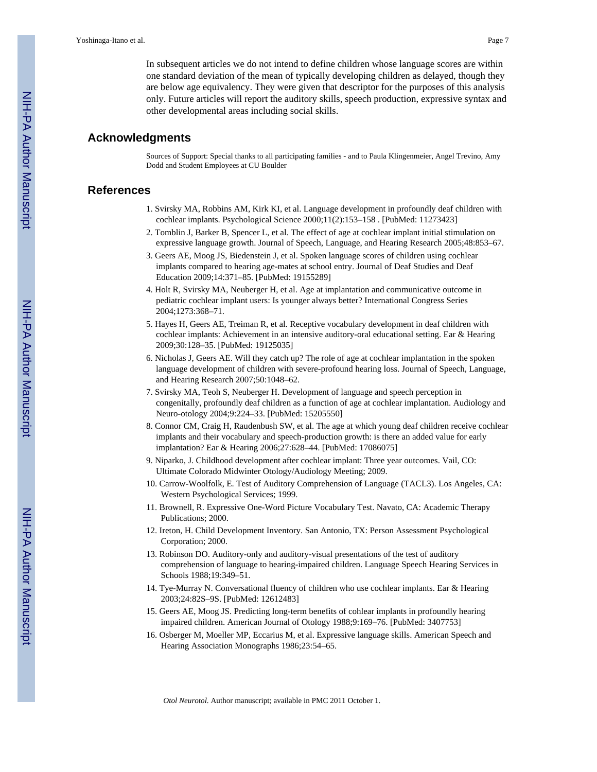In subsequent articles we do not intend to define children whose language scores are within one standard deviation of the mean of typically developing children as delayed, though they are below age equivalency. They were given that descriptor for the purposes of this analysis only. Future articles will report the auditory skills, speech production, expressive syntax and other developmental areas including social skills.

# **Acknowledgments**

Sources of Support: Special thanks to all participating families - and to Paula Klingenmeier, Angel Trevino, Amy Dodd and Student Employees at CU Boulder

## **References**

- 1. Svirsky MA, Robbins AM, Kirk KI, et al. Language development in profoundly deaf children with cochlear implants. Psychological Science 2000;11(2):153–158 . [PubMed: 11273423]
- 2. Tomblin J, Barker B, Spencer L, et al. The effect of age at cochlear implant initial stimulation on expressive language growth. Journal of Speech, Language, and Hearing Research 2005;48:853–67.
- 3. Geers AE, Moog JS, Biedenstein J, et al. Spoken language scores of children using cochlear implants compared to hearing age-mates at school entry. Journal of Deaf Studies and Deaf Education 2009;14:371–85. [PubMed: 19155289]
- 4. Holt R, Svirsky MA, Neuberger H, et al. Age at implantation and communicative outcome in pediatric cochlear implant users: Is younger always better? International Congress Series 2004;1273:368–71.
- 5. Hayes H, Geers AE, Treiman R, et al. Receptive vocabulary development in deaf children with cochlear implants: Achievement in an intensive auditory-oral educational setting. Ear & Hearing 2009;30:128–35. [PubMed: 19125035]
- 6. Nicholas J, Geers AE. Will they catch up? The role of age at cochlear implantation in the spoken language development of children with severe-profound hearing loss. Journal of Speech, Language, and Hearing Research 2007;50:1048–62.
- 7. Svirsky MA, Teoh S, Neuberger H. Development of language and speech perception in congenitally, profoundly deaf children as a function of age at cochlear implantation. Audiology and Neuro-otology 2004;9:224–33. [PubMed: 15205550]
- 8. Connor CM, Craig H, Raudenbush SW, et al. The age at which young deaf children receive cochlear implants and their vocabulary and speech-production growth: is there an added value for early implantation? Ear & Hearing 2006;27:628–44. [PubMed: 17086075]
- 9. Niparko, J. Childhood development after cochlear implant: Three year outcomes. Vail, CO: Ultimate Colorado Midwinter Otology/Audiology Meeting; 2009.
- 10. Carrow-Woolfolk, E. Test of Auditory Comprehension of Language (TACL3). Los Angeles, CA: Western Psychological Services; 1999.
- 11. Brownell, R. Expressive One-Word Picture Vocabulary Test. Navato, CA: Academic Therapy Publications; 2000.
- 12. Ireton, H. Child Development Inventory. San Antonio, TX: Person Assessment Psychological Corporation; 2000.
- 13. Robinson DO. Auditory-only and auditory-visual presentations of the test of auditory comprehension of language to hearing-impaired children. Language Speech Hearing Services in Schools 1988;19:349–51.
- 14. Tye-Murray N. Conversational fluency of children who use cochlear implants. Ear & Hearing 2003;24:82S–9S. [PubMed: 12612483]
- 15. Geers AE, Moog JS. Predicting long-term benefits of cohlear implants in profoundly hearing impaired children. American Journal of Otology 1988;9:169–76. [PubMed: 3407753]
- 16. Osberger M, Moeller MP, Eccarius M, et al. Expressive language skills. American Speech and Hearing Association Monographs 1986;23:54–65.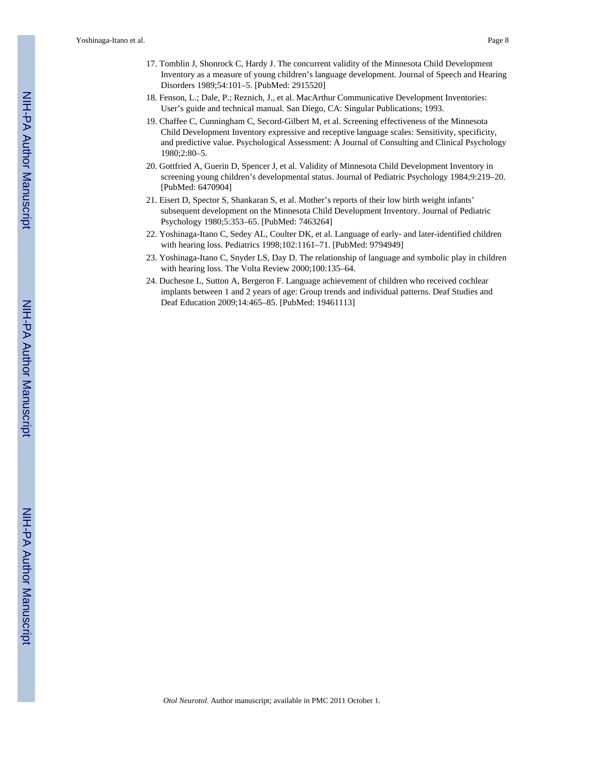Yoshinaga-Itano et al. Page 8

- 17. Tomblin J, Shonrock C, Hardy J. The concurrent validity of the Minnesota Child Development Inventory as a measure of young children's language development. Journal of Speech and Hearing Disorders 1989;54:101–5. [PubMed: 2915520]
- 18. Fenson, L.; Dale, P.; Reznich, J., et al. MacArthur Communicative Development Inventories: User's guide and technical manual. San Diego, CA: Singular Publications; 1993.
- 19. Chaffee C, Cunningham C, Secord-Gilbert M, et al. Screening effectiveness of the Minnesota Child Development Inventory expressive and receptive language scales: Sensitivity, specificity, and predictive value. Psychological Assessment: A Journal of Consulting and Clinical Psychology 1980;2:80–5.
- 20. Gottfried A, Guerin D, Spencer J, et al. Validity of Minnesota Child Development Inventory in screening young children's developmental status. Journal of Pediatric Psychology 1984;9:219–20. [PubMed: 6470904]
- 21. Eisert D, Spector S, Shankaran S, et al. Mother's reports of their low birth weight infants' subsequent development on the Minnesota Child Development Inventory. Journal of Pediatric Psychology 1980;5:353–65. [PubMed: 7463264]
- 22. Yoshinaga-Itano C, Sedey AL, Coulter DK, et al. Language of early- and later-identified children with hearing loss. Pediatrics 1998;102:1161–71. [PubMed: 9794949]
- 23. Yoshinaga-Itano C, Snyder LS, Day D. The relationship of language and symbolic play in children with hearing loss. The Volta Review 2000;100:135–64.
- 24. Duchesne L, Sutton A, Bergeron F. Language achievement of children who received cochlear implants between 1 and 2 years of age: Group trends and individual patterns. Deaf Studies and Deaf Education 2009;14:465–85. [PubMed: 19461113]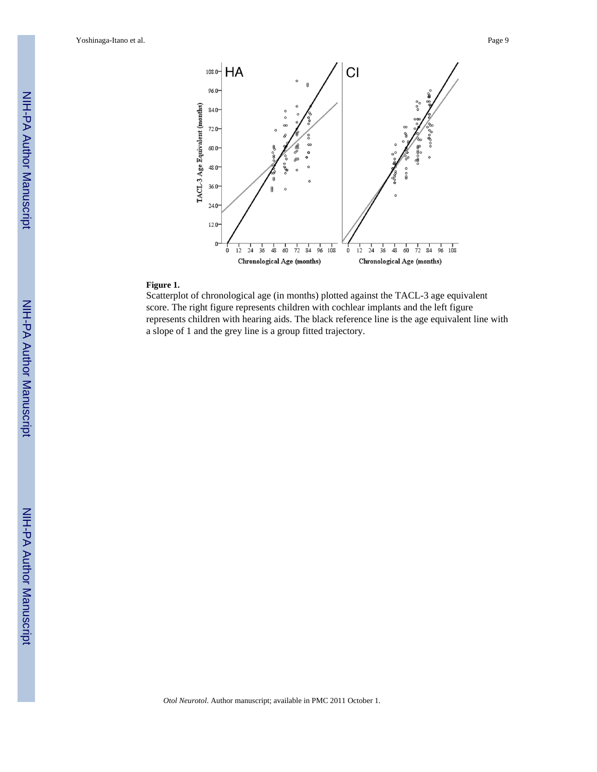Yoshinaga-Itano et al. Page 9



#### **Figure 1.**

Scatterplot of chronological age (in months) plotted against the TACL-3 age equivalent score. The right figure represents children with cochlear implants and the left figure represents children with hearing aids. The black reference line is the age equivalent line with a slope of 1 and the grey line is a group fitted trajectory.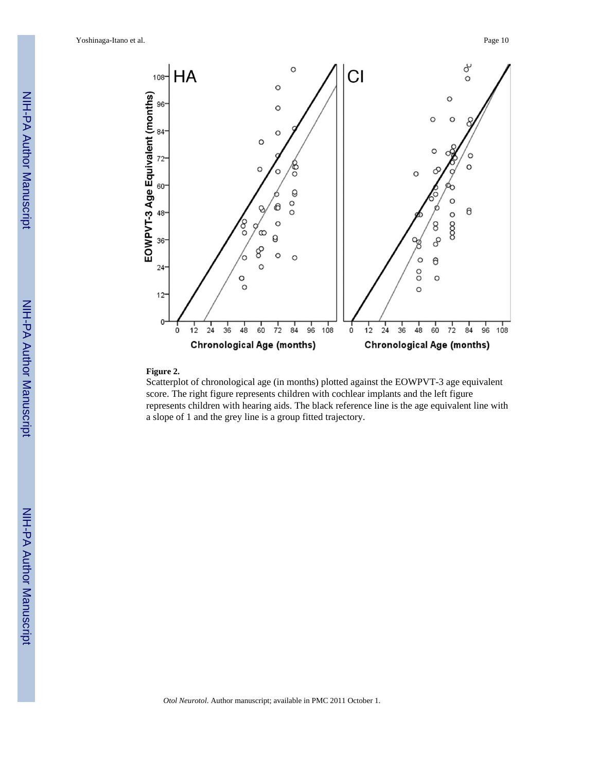

#### **Figure 2.**

Scatterplot of chronological age (in months) plotted against the EOWPVT-3 age equivalent score. The right figure represents children with cochlear implants and the left figure represents children with hearing aids. The black reference line is the age equivalent line with a slope of 1 and the grey line is a group fitted trajectory.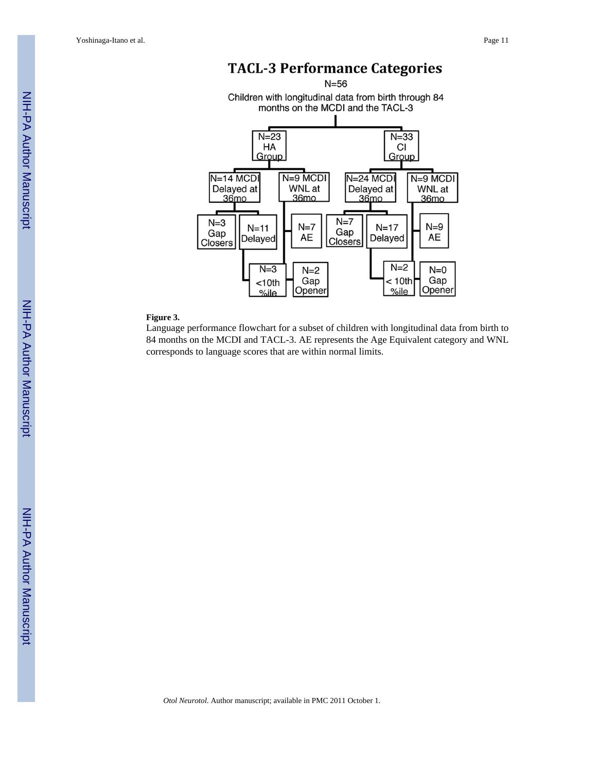

# **Figure 3.**

Language performance flowchart for a subset of children with longitudinal data from birth to 84 months on the MCDI and TACL-3. AE represents the Age Equivalent category and WNL corresponds to language scores that are within normal limits.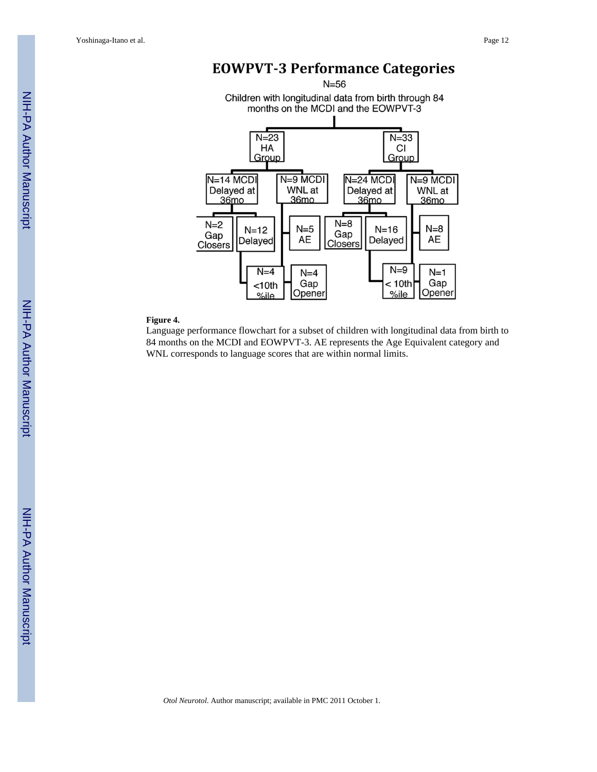# **EOWPVT-3 Performance Categories**  $N=56$

Children with longitudinal data from birth through 84 months on the MCDI and the EOWPVT-3



#### **Figure 4.**

Language performance flowchart for a subset of children with longitudinal data from birth to 84 months on the MCDI and EOWPVT-3. AE represents the Age Equivalent category and WNL corresponds to language scores that are within normal limits.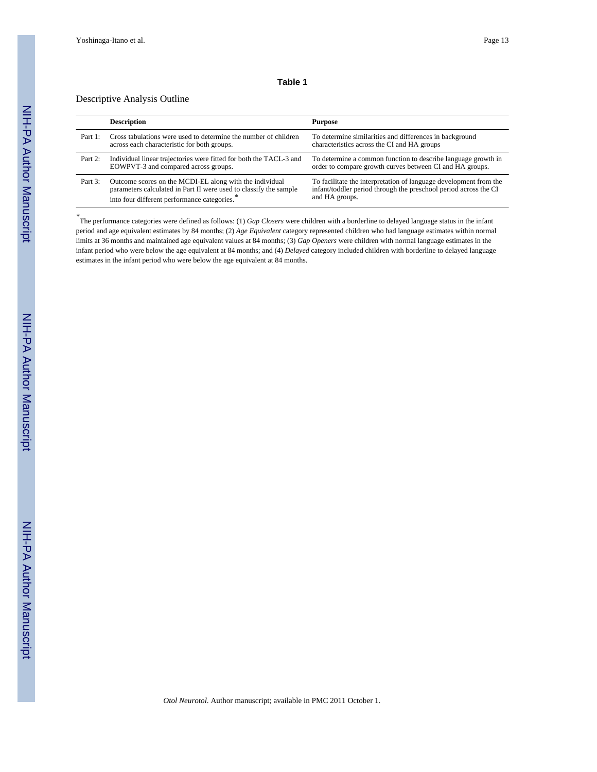# Descriptive Analysis Outline

|           | <b>Description</b>                                                                                                                                                                       | <b>Purpose</b>                                                                                                                                          |
|-----------|------------------------------------------------------------------------------------------------------------------------------------------------------------------------------------------|---------------------------------------------------------------------------------------------------------------------------------------------------------|
| Part $1:$ | Cross tabulations were used to determine the number of children<br>across each characteristic for both groups.                                                                           | To determine similarities and differences in background<br>characteristics across the CI and HA groups                                                  |
| Part 2:   | Individual linear trajectories were fitted for both the TACL-3 and<br>EOWPVT-3 and compared across groups.                                                                               | To determine a common function to describe language growth in<br>order to compare growth curves between CI and HA groups.                               |
| Part 3:   | Outcome scores on the MCDI-EL along with the individual<br>parameters calculated in Part II were used to classify the sample<br>into four different performance categories. <sup>*</sup> | To facilitate the interpretation of language development from the<br>infant/toddler period through the preschool period across the CI<br>and HA groups. |

*\** The performance categories were defined as follows: (1) *Gap Closers* were children with a borderline to delayed language status in the infant period and age equivalent estimates by 84 months; (2) *Age Equivalent* category represented children who had language estimates within normal limits at 36 months and maintained age equivalent values at 84 months; (3) *Gap Openers* were children with normal language estimates in the infant period who were below the age equivalent at 84 months; and (4) *Delayed* category included children with borderline to delayed language estimates in the infant period who were below the age equivalent at 84 months.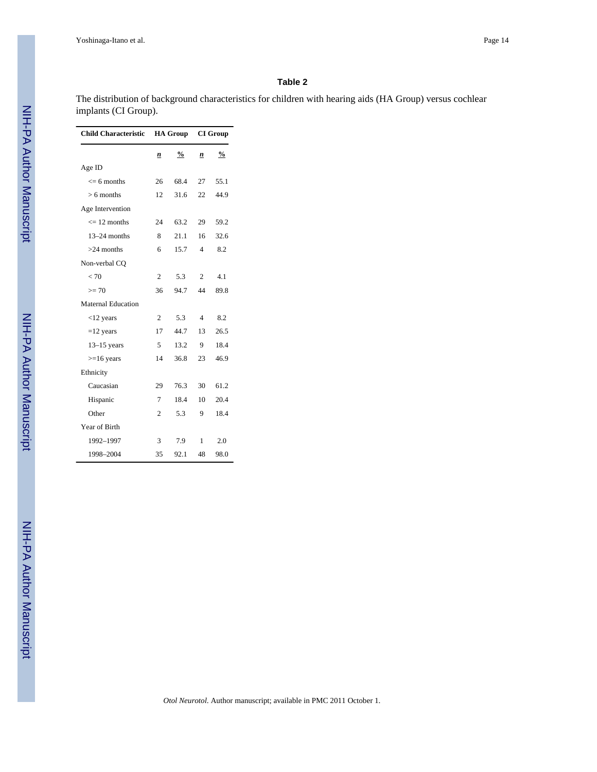The distribution of background characteristics for children with hearing aids (HA Group) versus cochlear implants (CI Group).

| <b>Child Characteristic</b> | <b>HA Group</b> |               | <b>CI</b> Group |               |
|-----------------------------|-----------------|---------------|-----------------|---------------|
|                             | n               | $\frac{0}{0}$ | n               | $\frac{0}{0}$ |
| Age ID                      |                 |               |                 |               |
| $\leq$ 6 months             | 26              | 68.4          | 27              | 55.1          |
| $> 6$ months                | 12              | 31.6          | 22              | 44.9          |
| Age Intervention            |                 |               |                 |               |
| $\leq$ 12 months            | 24              | 63.2          | 29              | 59.2          |
| $13-24$ months              | 8               | 21.1          | 16              | 32.6          |
| $>24$ months                | 6               | 15.7          | 4               | 8.2           |
| Non-verbal CQ               |                 |               |                 |               |
| < 70                        | 2               | 5.3           | 2               | 4.1           |
| $>= 70$                     | 36              | 94.7          | 44              | 89.8          |
| Maternal Education          |                 |               |                 |               |
| $<$ 12 years                | $\overline{2}$  | 5.3           | 4               | 8.2           |
| $=12$ years                 | 17              | 44.7          | 13              | 26.5          |
| $13-15$ years               | 5               | 13.2          | 9               | 18.4          |
| $>=16$ years                | 14              | 36.8          | 23              | 46.9          |
| Ethnicity                   |                 |               |                 |               |
| Caucasian                   | 29              | 76.3          | 30              | 61.2          |
| Hispanic                    | 7               | 18.4          | 10              | 20.4          |
| Other                       | $\overline{2}$  | 5.3           | 9               | 18.4          |
| Year of Birth               |                 |               |                 |               |
| 1992-1997                   | 3               | 7.9           | 1               | 2.0           |
| 1998-2004                   | 35              | 92.1          | 48              | 98.0          |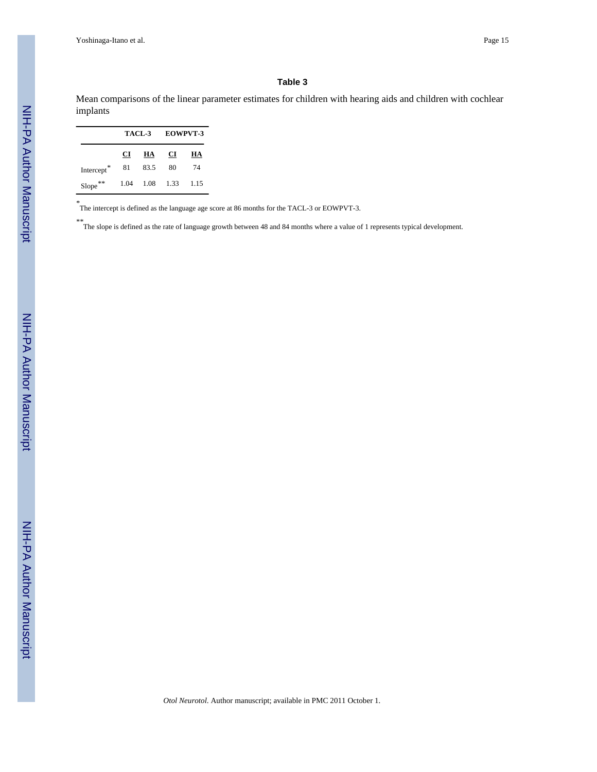Mean comparisons of the linear parameter estimates for children with hearing aids and children with cochlear implants

|                        | TACL-3 |      | <b>EOWPVT-3</b> |      |
|------------------------|--------|------|-----------------|------|
|                        | CI     | HА   | СI              | HА   |
| Intercept <sup>*</sup> | 81     | 83.5 | 80              | 74   |
| Slope**                | 1.04   | 1.08 | 1.33            | 1.15 |

*\** The intercept is defined as the language age score at 86 months for the TACL-3 or EOWPVT-3.

*\*\**The slope is defined as the rate of language growth between 48 and 84 months where a value of 1 represents typical development.